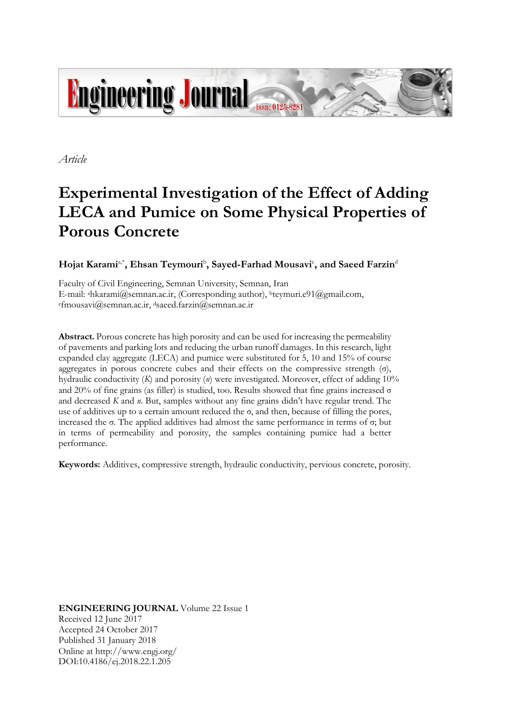

*Article*

# **Experimental Investigation of the Effect of Adding LECA and Pumice on Some Physical Properties of Porous Concrete**

## $\bf{H}$ ojat  $\bf{K}$ arami $\rm{a^*,}$   $\bf{F}$ . **Ehsan**  $\bf{T}$ **eymouri** $\rm{^b}$ **,**  $\bf{S}$ **ayed-Farhad**  $\bf{M}$ **ousavi** $\rm{^c}$ **, and**  $\bf{S}$ **aeed**  $\bf{F}$ **arzin** $\rm{^d}$

Faculty of Civil Engineering, Semnan University, Semnan, Iran E-mail: <sup>a</sup>hkarami@semnan.ac.ir, (Corresponding author), <sup>b</sup>teymuri.[e91@gmail](mailto:bteymuri.e91@gmail.com).com, <sup>c</sup>[fmousavi@semnan](mailto:fmousavi@semnan.ac.ir).ac.ir, <sup>d</sup>saeed.farzin@semnan.ac.ir

**Abstract.** Porous concrete has high porosity and can be used for increasing the permeability of pavements and parking lots and reducing the urban runoff damages. In this research, light expanded clay aggregate (LECA) and pumice were substituted for 5, 10 and 15% of course aggregates in porous concrete cubes and their effects on the compressive strength (σ), hydraulic conductivity (*K*) and porosity (*n*) were investigated. Moreover, effect of adding 10% and 20% of fine grains (as filler) is studied, too. Results showed that fine grains increased  $\sigma$ and decreased *K* and *n*. But, samples without any fine grains didn't have regular trend. The use of additives up to a certain amount reduced the  $\sigma$ , and then, because of filling the pores, increased the σ. The applied additives had almost the same performance in terms of σ; but in terms of permeability and porosity, the samples containing pumice had a better performance.

**Keywords:** Additives, compressive strength, hydraulic conductivity, pervious concrete, porosity.

**ENGINEERING JOURNAL** Volume 22 Issue 1 Received 12 June 2017 Accepted 24 October 2017 Published 31 January 2018 Online at http://www.engj.org/ DOI:10.4186/ej.2018.22.1.205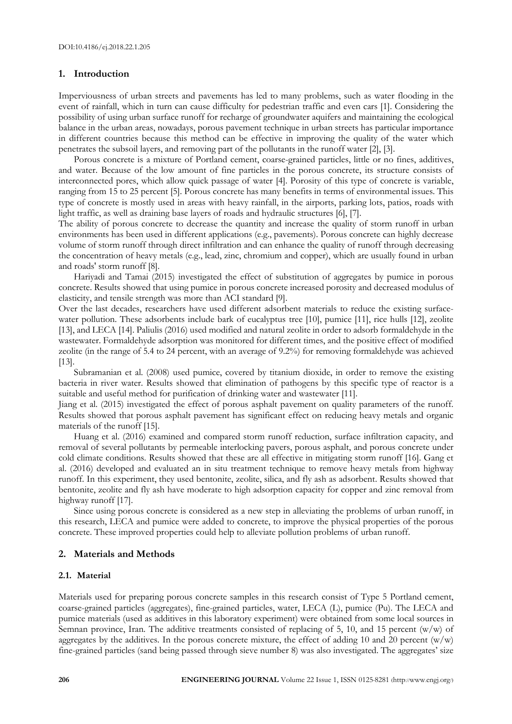## **1. Introduction**

Imperviousness of urban streets and pavements has led to many problems, such as water flooding in the event of rainfall, which in turn can cause difficulty for pedestrian traffic and even cars [1]. Considering the possibility of using urban surface runoff for recharge of groundwater aquifers and maintaining the ecological balance in the urban areas, nowadays, porous pavement technique in urban streets has particular importance in different countries because this method can be effective in improving the quality of the water which penetrates the subsoil layers, and removing part of the pollutants in the runoff water [2], [3].

Porous concrete is a mixture of Portland cement, coarse-grained particles, little or no fines, additives, and water. Because of the low amount of fine particles in the porous concrete, its structure consists of interconnected pores, which allow quick passage of water [4]. Porosity of this type of concrete is variable, ranging from 15 to 25 percent [5]. Porous concrete has many benefits in terms of environmental issues. This type of concrete is mostly used in areas with heavy rainfall, in the airports, parking lots, patios, roads with light traffic, as well as draining base layers of roads and hydraulic structures [6], [7].

The ability of porous concrete to decrease the quantity and increase the quality of storm runoff in urban environments has been used in different applications (e.g., pavements). Porous concrete can highly decrease volume of storm runoff through direct infiltration and can enhance the quality of runoff through decreasing the concentration of heavy metals (e.g., lead, zinc, chromium and copper), which are usually found in urban and roads' storm runoff [8].

Hariyadi and Tamai (2015) investigated the effect of substitution of aggregates by pumice in porous concrete. Results showed that using pumice in porous concrete increased porosity and decreased modulus of elasticity, and tensile strength was more than ACI standard [9].

Over the last decades, researchers have used different adsorbent materials to reduce the existing surfacewater pollution. These adsorbents include bark of eucalyptus tree [10], pumice [11], rice hulls [12], zeolite [13], and LECA [14]. Paliulis (2016) used modified and natural zeolite in order to adsorb formaldehyde in the wastewater. Formaldehyde adsorption was monitored for different times, and the positive effect of modified zeolite (in the range of 5.4 to 24 percent, with an average of 9.2%) for removing formaldehyde was achieved [13].

Subramanian et al. (2008) used pumice, covered by titanium dioxide, in order to remove the existing bacteria in river water. Results showed that elimination of pathogens by this specific type of reactor is a suitable and useful method for purification of drinking water and wastewater [11].

Jiang et al. (2015) investigated the effect of porous asphalt pavement on quality parameters of the runoff. Results showed that porous asphalt pavement has significant effect on reducing heavy metals and organic materials of the runoff [15].

Huang et al. (2016) examined and compared storm runoff reduction, surface infiltration capacity, and removal of several pollutants by permeable interlocking pavers, porous asphalt, and porous concrete under cold climate conditions. Results showed that these are all effective in mitigating storm runoff [16]. Gang et al. (2016) developed and evaluated an in situ treatment technique to remove heavy metals from highway runoff. In this experiment, they used bentonite, zeolite, silica, and fly ash as adsorbent. Results showed that bentonite, zeolite and fly ash have moderate to high adsorption capacity for copper and zinc removal from highway runoff [17].

Since using porous concrete is considered as a new step in alleviating the problems of urban runoff, in this research, LECA and pumice were added to concrete, to improve the physical properties of the porous concrete. These improved properties could help to alleviate pollution problems of urban runoff.

## **2. Materials and Methods**

#### **2.1. Material**

Materials used for preparing porous concrete samples in this research consist of Type 5 Portland cement, coarse-grained particles (aggregates), fine-grained particles, water, LECA (L), pumice (Pu). The LECA and pumice materials (used as additives in this laboratory experiment) were obtained from some local sources in Semnan province, Iran. The additive treatments consisted of replacing of 5, 10, and 15 percent (w/w) of aggregates by the additives. In the porous concrete mixture, the effect of adding 10 and 20 percent  $(w/w)$ fine-grained particles (sand being passed through sieve number 8) was also investigated. The aggregates' size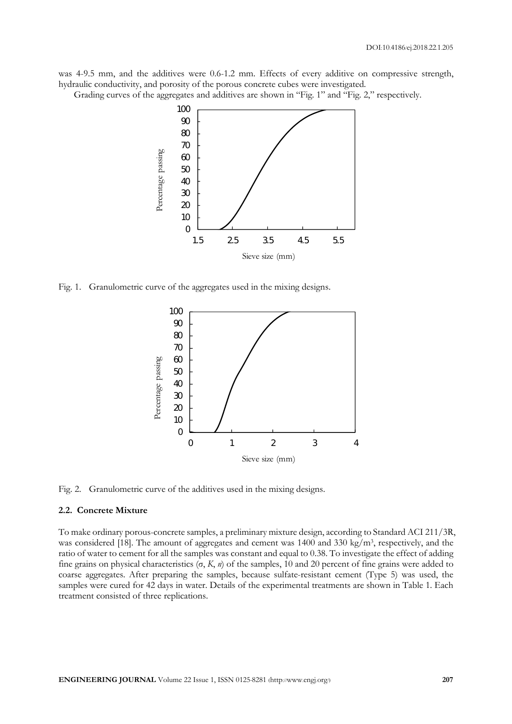was 4-9.5 mm, and the additives were 0.6-1.2 mm. Effects of every additive on compressive strength, hydraulic conductivity, and porosity of the porous concrete cubes were investigated.

Grading curves of the aggregates and additives are shown in "Fig. 1" and "Fig. 2," respectively.



Fig. 1. Granulometric curve of the aggregates used in the mixing designs.



Fig. 2. Granulometric curve of the additives used in the mixing designs.

## **2.2. Concrete Mixture**

To make ordinary porous-concrete samples, a preliminary mixture design, according to Standard ACI 211/3R, was considered [18]. The amount of aggregates and cement was 1400 and 330 kg/m<sup>3</sup>, respectively, and the ratio of water to cement for all the samples was constant and equal to 0.38. To investigate the effect of adding fine grains on physical characteristics (σ, *K*, *n*) of the samples, 10 and 20 percent of fine grains were added to coarse aggregates. After preparing the samples, because sulfate-resistant cement (Type 5) was used, the samples were cured for 42 days in water. Details of the experimental treatments are shown in Table 1. Each treatment consisted of three replications.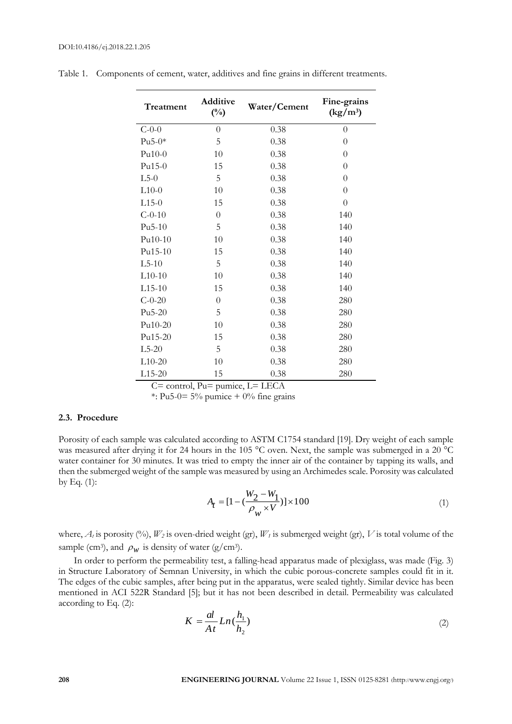#### DOI:10.4186/ej.2018.22.1.205

| Treatment | <b>Additive</b><br>$(^{0}_{0})$ | Water/Cement | Fine-grains<br>$(kg/m^3)$ |
|-----------|---------------------------------|--------------|---------------------------|
| $C-0-0$   | $\overline{0}$                  | 0.38         | $\overline{0}$            |
| $Pu5-0*$  | 5                               | 0.38         | $\theta$                  |
| $Pu10-0$  | 10                              | 0.38         | $\theta$                  |
| $Pu15-0$  | 15                              | 0.38         | $\theta$                  |
| $L5-0$    | 5                               | 0.38         | $\theta$                  |
| $L10-0$   | 10                              | 0.38         | $\theta$                  |
| $L15-0$   | 15                              | 0.38         | $\theta$                  |
| $C-0-10$  | $\theta$                        | 0.38         | 140                       |
| $Pu5-10$  | 5                               | 0.38         | 140                       |
| Pu10-10   | 10                              | 0.38         | 140                       |
| Pu15-10   | 15                              | 0.38         | 140                       |
| $L5-10$   | 5                               | 0.38         | 140                       |
| $L10-10$  | 10                              | 0.38         | 140                       |
| $L15-10$  | 15                              | 0.38         | 140                       |
| $C-0-20$  | $\theta$                        | 0.38         | 280                       |
| Pu5-20    | 5                               | 0.38         | 280                       |
| Pu10-20   | 10                              | 0.38         | 280                       |
| Pu15-20   | 15                              | 0.38         | 280                       |
| $L5-20$   | 5                               | 0.38         | 280                       |
| $L10-20$  | 10                              | 0.38         | 280                       |
| $L15-20$  | 15                              | 0.38         | 280                       |

Table 1. Components of cement, water, additives and fine grains in different treatments.

 $C=$  control, Pu= pumice, L= LECA

\*: Pu5-0= 5% pumice + 0% fine grains

## **2.3. Procedure**

Porosity of each sample was calculated according to ASTM C1754 standard [19]. Dry weight of each sample was measured after drying it for 24 hours in the 105 °C oven. Next, the sample was submerged in a 20 °C water container for 30 minutes. It was tried to empty the inner air of the container by tapping its walls, and then the submerged weight of the sample was measured by using an Archimedes scale. Porosity was calculated by Eq.  $(1)$ :

$$
A_{t} = [1 - (\frac{W_{2} - W_{1}}{\rho_{W} \times V})] \times 100
$$
\n(1)

where,  $A_t$  is porosity (%),  $W_2$  is oven-dried weight (gr),  $W_t$  is submerged weight (gr),  $V$  is total volume of the sample (cm<sup>3</sup>), and  $\rho_w$  is density of water (g/cm<sup>3</sup>).

In order to perform the permeability test, a falling-head apparatus made of plexiglass, was made (Fig. 3) in Structure Laboratory of Semnan University, in which the cubic porous-concrete samples could fit in it. The edges of the cubic samples, after being put in the apparatus, were sealed tightly. Similar device has been mentioned in ACI 522R Standard [5]; but it has not been described in detail. Permeability was calculated according to Eq. (2):

$$
K = \frac{al}{At} Ln(\frac{h_1}{h_2})
$$
\n<sup>(2)</sup>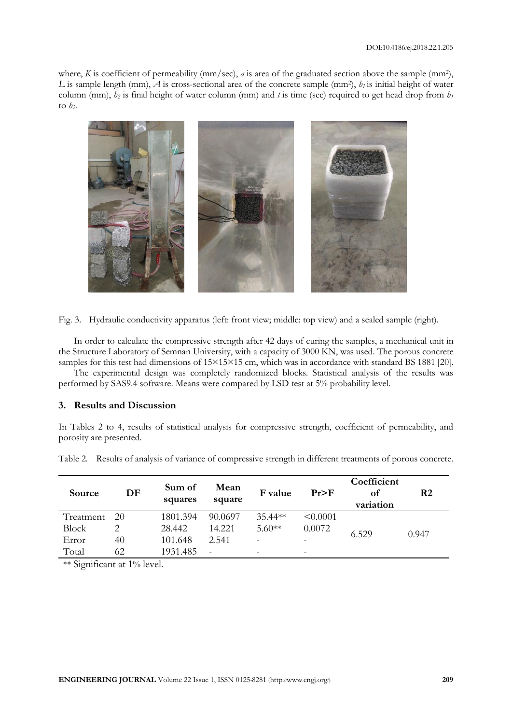where, *K* is coefficient of permeability (mm/sec), *a* is area of the graduated section above the sample (mm<sup>2</sup>), *L* is sample length (mm), *A* is cross-sectional area of the concrete sample (mm<sup>2</sup> ), *h<sup>1</sup>* is initial height of water column (mm),  $h_2$  is final height of water column (mm) and *t* is time (sec) required to get head drop from  $h_1$ to *h2*.



Fig. 3. Hydraulic conductivity apparatus (left: front view; middle: top view) and a sealed sample (right).

In order to calculate the compressive strength after 42 days of curing the samples, a mechanical unit in the Structure Laboratory of Semnan University, with a capacity of 3000 KN, was used. The porous concrete samples for this test had dimensions of  $15\times15\times15$  cm, which was in accordance with standard BS 1881 [20].

The experimental design was completely randomized blocks. Statistical analysis of the results was performed by SAS9.4 software. Means were compared by LSD test at 5% probability level.

## **3. Results and Discussion**

In Tables 2 to 4, results of statistical analysis for compressive strength, coefficient of permeability, and porosity are presented.

| Source       | DF | Sum of<br>squares | Mean<br>square | F value   | Pr > F                   | Coefficient<br>оf<br>variation | R <sub>2</sub> |
|--------------|----|-------------------|----------------|-----------|--------------------------|--------------------------------|----------------|
| Treatment    | 20 | 1801.394          | 90.0697        | $35.44**$ | < 0.0001                 |                                |                |
| <b>Block</b> |    | 28.442            | 14.221         | $5.60**$  | 0.0072                   | 6.529                          | 0.947          |
| Error        | 40 | 101.648           | 2.541          |           |                          |                                |                |
| Total        | 62 | 1931.485          |                |           | $\overline{\phantom{0}}$ |                                |                |

Table 2. Results of analysis of variance of compressive strength in different treatments of porous concrete.

\*\* Significant at 1% level.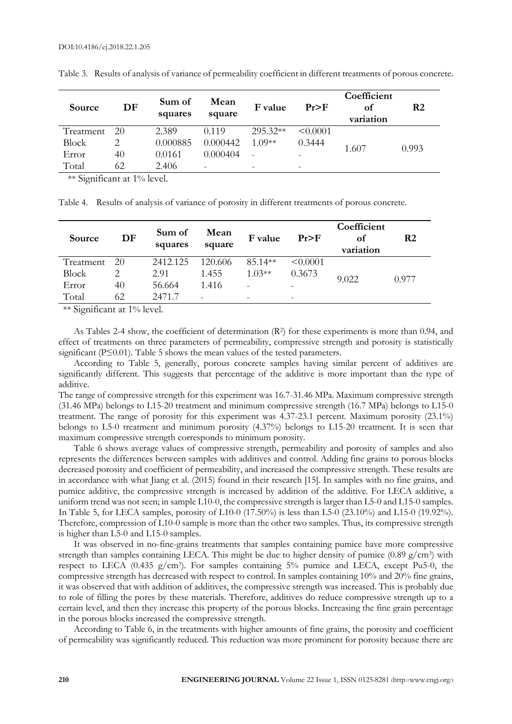| Source    | DF | Sum of<br>squares | Mean<br>square | F value                  | Pr > F   | Coefficient<br>оf<br>variation | R <sub>2</sub> |
|-----------|----|-------------------|----------------|--------------------------|----------|--------------------------------|----------------|
| Treatment | 20 | 2.389             | 0.119          | $295.32**$               | < 0.0001 |                                |                |
| Block     |    | 0.000885          | 0.000442       | $1.09**$                 | 0.3444   |                                | 0.993          |
| Error     | 40 | 0.0161            | 0.000404       | $\overline{\phantom{0}}$ |          | 1.607                          |                |
| Total     | 62 | 2.406             | -              |                          | -        |                                |                |

Table 3. Results of analysis of variance of permeability coefficient in different treatments of porous concrete.

\*\* Significant at 1% level.

Table 4. Results of analysis of variance of porosity in different treatments of porous concrete.

| Source                                                        | DF | Sum of<br>squares | Mean<br>square | F value   | Pr > F   | Coefficient<br>οf<br>variation | R <sub>2</sub> |
|---------------------------------------------------------------|----|-------------------|----------------|-----------|----------|--------------------------------|----------------|
| Treatment                                                     | 20 | 2412.125          | 120.606        | $85.14**$ | < 0.0001 |                                |                |
| <b>Block</b>                                                  |    | 2.91              | 1.455          | $1.03**$  | 0.3673   | 9.022                          | 0.977          |
| Error                                                         | 40 | 56.664            | 1.416          |           |          |                                |                |
| Total<br>$\cdot$<br>$\sim$ $\sim$ $\sim$ $\sim$ $\sim$ $\sim$ | 62 | 2471.7            |                |           |          |                                |                |

\*\* Significant at 1% level.

As Tables 2-4 show, the coefficient of determination (R<sup>2</sup>) for these experiments is more than 0.94, and effect of treatments on three parameters of permeability, compressive strength and porosity is statistically significant (P≤0.01). Table 5 shows the mean values of the tested parameters.

According to Table 5, generally, porous concrete samples having similar percent of additives are significantly different. This suggests that percentage of the additive is more important than the type of additive.

The range of compressive strength for this experiment was 16.7-31.46 MPa. Maximum compressive strength (31.46 MPa) belongs to L15-20 treatment and minimum compressive strength (16.7 MPa) belongs to L15-0 treatment. The range of porosity for this experiment was 4.37-23.1 percent. Maximum porosity (23.1%) belongs to L5-0 treatment and minimum porosity (4.37%) belongs to L15-20 treatment. It is seen that maximum compressive strength corresponds to minimum porosity.

Table 6 shows average values of compressive strength, permeability and porosity of samples and also represents the differences between samples with additives and control. Adding fine grains to porous blocks decreased porosity and coefficient of permeability, and increased the compressive strength. These results are in accordance with what Jiang et al. (2015) found in their research [15]. In samples with no fine grains, and pumice additive, the compressive strength is increased by addition of the additive. For LECA additive, a uniform trend was not seen; in sample L10-0, the compressive strength is larger than L5-0 and L15-0 samples. In Table 5, for LECA samples, porosity of L10-0 (17.50%) is less than L5-0 (23.10%) and L15-0 (19.92%). Therefore, compression of L10-0 sample is more than the other two samples. Thus, its compressive strength is higher than L5-0 and L15-0 samples.

It was observed in no-fine-grains treatments that samples containing pumice have more compressive strength than samples containing LECA. This might be due to higher density of pumice  $(0.89 \text{ g/cm}^3)$  with respect to LECA (0.435 g/cm<sup>3</sup>). For samples containing 5% pumice and LECA, except Pu5-0, the compressive strength has decreased with respect to control. In samples containing 10% and 20% fine grains, it was observed that with addition of additives, the compressive strength was increased. This is probably due to role of filling the pores by these materials. Therefore, additives do reduce compressive strength up to a certain level, and then they increase this property of the porous blocks. Increasing the fine grain percentage in the porous blocks increased the compressive strength.

According to Table 6, in the treatments with higher amounts of fine grains, the porosity and coefficient of permeability was significantly reduced. This reduction was more prominent for porosity because there are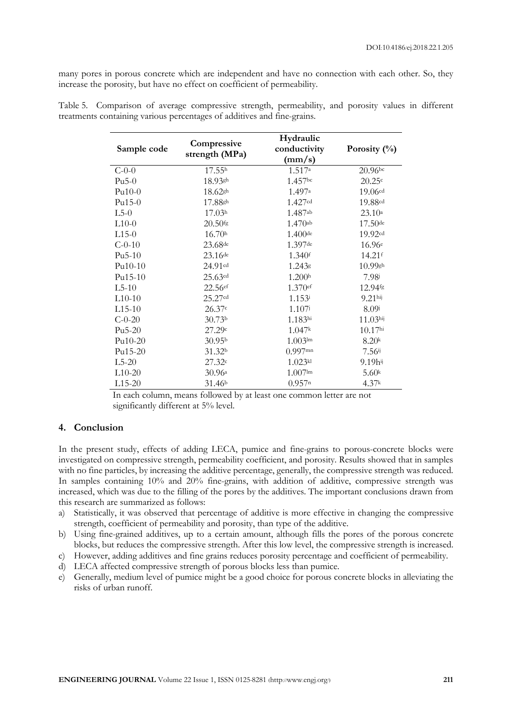many pores in porous concrete which are independent and have no connection with each other. So, they increase the porosity, but have no effect on coefficient of permeability.

|             |                     | Hydraulic             |                      |
|-------------|---------------------|-----------------------|----------------------|
| Sample code | Compressive         | conductivity          | Porosity $(\%)$      |
|             | strength (MPa)      | $\text{(mm/s)}$       |                      |
| $C-0-0$     | 17.55 <sup>h</sup>  | 1.517a                | 20.96 <sup>bc</sup>  |
| $Pu5-0$     | $18.93$ gh          | $1.457$ bc            | 20.25c               |
| $Pu10-0$    | $18.62$ gh          | 1.497a                | 19.06 <sup>cd</sup>  |
| $Pu15-0$    | 17.88sh             | 1.427cd               | 19.88cd              |
| $L5-0$      | 17.03 <sup>h</sup>  | 1.487ab               | 23.10a               |
| $L10-0$     | $20.50$ fg          | $1.470$ ab            | $17.50$ de           |
| $L15-0$     | 16.70 <sup>h</sup>  | $1.400$ de            | 19.92cd              |
| $C-0-10$    | $23.68$ de          | 1.397de               | 16.96e               |
| $Pu5-10$    | $23.16$ de          | 1.340f                | 14.21f               |
| $Pu10-10$   | 24.91cd             | 1.243g                | $10.99$ gh           |
| Pu15-10     | 25.63 <sup>cd</sup> | 1.200 <sup>h</sup>    | 7.98i                |
| $L5-10$     | 22.56ef             | 1.370ef               | 12.94 <sup>fg</sup>  |
| $L10-10$    | 25.27 <sup>cd</sup> | $1.153$ <sup>i</sup>  | 9.21 <sup>hij</sup>  |
| $L15-10$    | 26.37c              | 1.107i                | 8.09i                |
| $C-0-20$    | 30.73 <sup>b</sup>  | 1.183 <sup>hi</sup>   | 11.03 <sup>hij</sup> |
| $Pu5-20$    | 27.29c              | 1.047k                | 10.17 <sup>hi</sup>  |
| Pu10-20     | 30.95 <sup>b</sup>  | 1.003 <sup>lm</sup>   | 8.20 <sup>k</sup>    |
| Pu15-20     | 31.32b              | $0.997$ mn            | 7.56i                |
| $L5-20$     | 27.32c              | $1.023$ <sub>kl</sub> | $9.19h^{ij}$         |
| $L10-20$    | 30.96a              | $1.007$ lm            | 5.60 <sup>k</sup>    |
| $L15-20$    | 31.46 <sup>b</sup>  | $0.957$ <sup>n</sup>  | 4.37 <sup>k</sup>    |

Table 5. Comparison of average compressive strength, permeability, and porosity values in different treatments containing various percentages of additives and fine-grains.

> In each column, means followed by at least one common letter are not significantly different at 5% level.

## **4. Conclusion**

In the present study, effects of adding LECA, pumice and fine-grains to porous-concrete blocks were investigated on compressive strength, permeability coefficient, and porosity. Results showed that in samples with no fine particles, by increasing the additive percentage, generally, the compressive strength was reduced. In samples containing 10% and 20% fine-grains, with addition of additive, compressive strength was increased, which was due to the filling of the pores by the additives. The important conclusions drawn from this research are summarized as follows:

- a) Statistically, it was observed that percentage of additive is more effective in changing the compressive strength, coefficient of permeability and porosity, than type of the additive.
- b) Using fine-grained additives, up to a certain amount, although fills the pores of the porous concrete blocks, but reduces the compressive strength. After this low level, the compressive strength is increased.
- c) However, adding additives and fine grains reduces porosity percentage and coefficient of permeability.
- d) LECA affected compressive strength of porous blocks less than pumice.
- e) Generally, medium level of pumice might be a good choice for porous concrete blocks in alleviating the risks of urban runoff.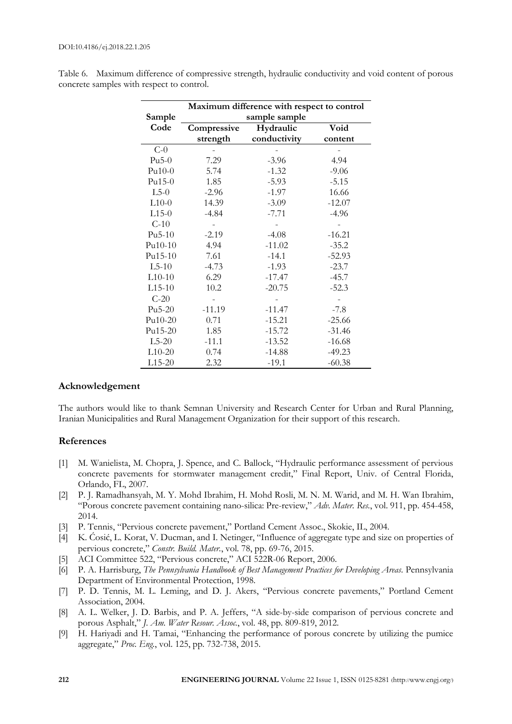|          | Maximum difference with respect to control |               |          |  |  |  |
|----------|--------------------------------------------|---------------|----------|--|--|--|
| Sample   |                                            | sample sample |          |  |  |  |
| Code     | Compressive                                | Hydraulic     | Void     |  |  |  |
|          | strength                                   | conductivity  | content  |  |  |  |
| $C-0$    |                                            |               |          |  |  |  |
| $Pu5-0$  | 7.29                                       | $-3.96$       | 4.94     |  |  |  |
| $Pu10-0$ | 5.74                                       | $-1.32$       | $-9.06$  |  |  |  |
| $Pu15-0$ | 1.85                                       | $-5.93$       | $-5.15$  |  |  |  |
| $L5-0$   | $-2.96$                                    | $-1.97$       | 16.66    |  |  |  |
| $L10-0$  | 14.39                                      | $-3.09$       | $-12.07$ |  |  |  |
| $L15-0$  | $-4.84$                                    | $-7.71$       | $-4.96$  |  |  |  |
| $C-10$   |                                            |               |          |  |  |  |
| $Pu5-10$ | $-2.19$                                    | $-4.08$       | $-16.21$ |  |  |  |
| Pu10-10  | 4.94                                       | $-11.02$      | $-35.2$  |  |  |  |
| Pu15-10  | 7.61                                       | $-14.1$       | $-52.93$ |  |  |  |
| $L5-10$  | $-4.73$                                    | $-1.93$       | $-23.7$  |  |  |  |
| $L10-10$ | 6.29                                       | $-17.47$      | $-45.7$  |  |  |  |
| $L15-10$ | 10.2                                       | $-20.75$      | $-52.3$  |  |  |  |
| $C-20$   |                                            |               |          |  |  |  |
| $Pu5-20$ | $-11.19$                                   | $-11.47$      | $-7.8$   |  |  |  |
| Pu10-20  | 0.71                                       | $-15.21$      | $-25.66$ |  |  |  |
| Pu15-20  | 1.85                                       | $-15.72$      | $-31.46$ |  |  |  |
| $L5-20$  | $-11.1$                                    | $-13.52$      | $-16.68$ |  |  |  |
| $L10-20$ | 0.74                                       | $-14.88$      | $-49.23$ |  |  |  |
| $L15-20$ | 2.32                                       | $-19.1$       | $-60.38$ |  |  |  |

Table 6. Maximum difference of compressive strength, hydraulic conductivity and void content of porous concrete samples with respect to control.

## **Acknowledgement**

The authors would like to thank Semnan University and Research Center for Urban and Rural Planning, Iranian Municipalities and Rural Management Organization for their support of this research.

## **References**

- [1] M. Wanielista, M. Chopra, J. Spence, and C. Ballock, "Hydraulic performance assessment of pervious concrete pavements for stormwater management credit," Final Report, Univ. of Central Florida, Orlando, FL, 2007.
- [2] P. J. Ramadhansyah, M. Y. Mohd Ibrahim, H. Mohd Rosli, M. N. M. Warid, and M. H. Wan Ibrahim, "Porous concrete pavement containing nano-silica: Pre-review," *Adv. Mater. Res.*, vol. 911, pp. 454-458, 2014.
- [3] P. Tennis, "Pervious concrete pavement," Portland Cement Assoc., Skokie, IL, 2004.
- [4] K. Ćosić, L. Korat, V. Ducman, and I. Netinger, "Influence of aggregate type and size on properties of pervious concrete," *Constr. Build. Mater.*, vol. 78, pp. 69-76, 2015.
- [5] ACI Committee 522, "Pervious concrete," ACI 522R-06 Report, 2006.
- [6] P. A. Harrisburg, *The Pennsylvania Handbook of Best Management Practices for Developing Areas*. Pennsylvania Department of Environmental Protection, 1998.
- [7] P. D. Tennis, M. L. Leming, and D. J. Akers, "Pervious concrete pavements," Portland Cement Association, 2004.
- [8] A. L. Welker, J. D. Barbis, and P. A. Jeffers, "A side-by-side comparison of pervious concrete and porous Asphalt," *J. Am. Water Resour. Assoc.*, vol. 48, pp. 809-819, 2012.
- [9] H. Hariyadi and H. Tamai, "Enhancing the performance of porous concrete by utilizing the pumice aggregate," *Proc. Eng.*, vol. 125, pp. 732-738, 2015.